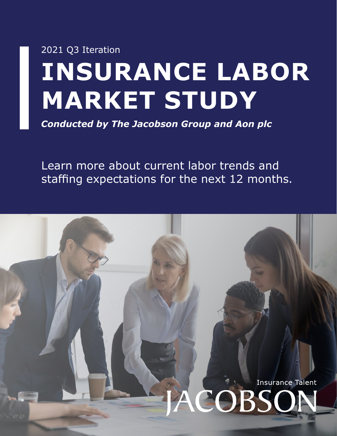# **INSURANCE LABOR MARKET STUDY** 2021 Q3 Ite[ration](http://jacobsononline.com/?source=Q3LaborStudySummary)

*Conducted by The Jacobson Group and Aon plc*

Learn more about current labor trends and staffing expectations for the next 12 months.

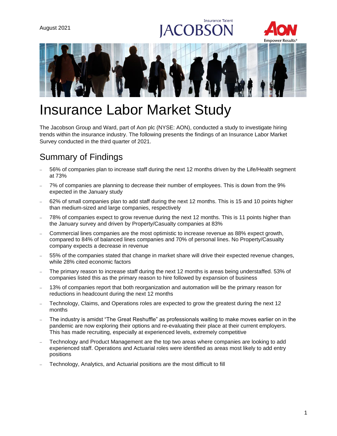# **Insurance Talent** OBS





# Insurance Labor Market Study

The Jacobson Group and Ward, part of Aon plc (NYSE: AON), conducted a study to investigate hiring trends within the insurance industry. The following presents the findings of an Insurance Labor Market Survey conducted in the third quarter of 2021.

# Summary of Findings

- − 56% of companies plan to increase staff during the next 12 months driven by the Life/Health segment at 73%
- − 7% of companies are planning to decrease their number of employees. This is down from the 9% expected in the January study
- − 62% of small companies plan to add staff during the next 12 months. This is 15 and 10 points higher than medium-sized and large companies, respectively
- 78% of companies expect to grow revenue during the next 12 months. This is 11 points higher than the January survey and driven by Property/Casualty companies at 83%
- − Commercial lines companies are the most optimistic to increase revenue as 88% expect growth, compared to 84% of balanced lines companies and 70% of personal lines. No Property/Casualty company expects a decrease in revenue
- − 55% of the companies stated that change in market share will drive their expected revenue changes, while 28% cited economic factors
- The primary reason to increase staff during the next 12 months is areas being understaffed. 53% of companies listed this as the primary reason to hire followed by expansion of business
- 13% of companies report that both reorganization and automation will be the primary reason for reductions in headcount during the next 12 months
- − Technology, Claims, and Operations roles are expected to grow the greatest during the next 12 months
- The industry is amidst "The Great Reshuffle" as professionals waiting to make moves earlier on in the pandemic are now exploring their options and re-evaluating their place at their current employers. This has made recruiting, especially at experienced levels, extremely competitive
- Technology and Product Management are the top two areas where companies are looking to add experienced staff. Operations and Actuarial roles were identified as areas most likely to add entry positions
- Technology, Analytics, and Actuarial positions are the most difficult to fill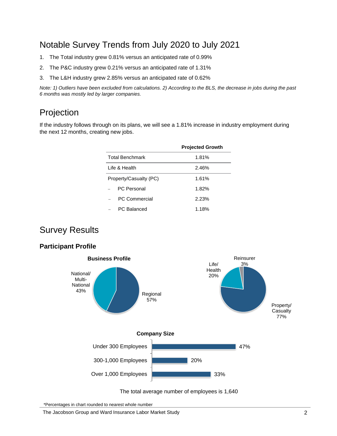### Notable Survey Trends from July 2020 to July 2021

- 1. The Total industry grew 0.81% versus an anticipated rate of 0.99%
- 2. The P&C industry grew 0.21% versus an anticipated rate of 1.31%
- 3. The L&H industry grew 2.85% versus an anticipated rate of 0.62%

*Note: 1) Outliers have been excluded from calculations. 2) According to the BLS, the decrease in jobs during the past 6 months was mostly led by larger companies.*

# Projection

If the industry follows through on its plans, we will see a 1.81% increase in industry employment during the next 12 months, creating new jobs.

|                        | <b>Projected Growth</b> |
|------------------------|-------------------------|
| <b>Total Benchmark</b> | 1.81%                   |
| Life & Health          | 2.46%                   |
| Property/Casualty (PC) | 1.61%                   |
| PC Personal            | 1.82%                   |
| PC Commercial          | 2.23%                   |
| PC Balanced            | 1.18%                   |

### Survey Results

#### **Participant Profile**



The total average number of employees is 1,640

\*Percentages in chart rounded to nearest whole number

The Jacobson Group and Ward Insurance Labor Market Study 2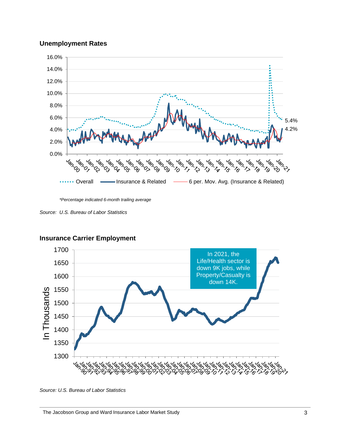#### **Unemployment Rates**



*\*Percentage indicated 6-month trailing average*

*Source: U.S. Bureau of Labor Statistics*



#### **Insurance Carrier Employment**

**Source: U.S. Bureau of Labor Statistics**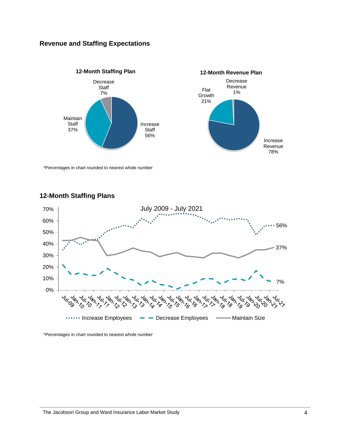#### **Revenue and Staffing Expectations**



\*Percentages in chart rounded to nearest whole number



#### **12-Month Staffing Plans**

\*Percentages in chart rounded to nearest whole number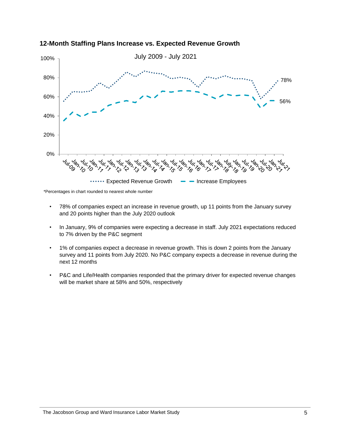

#### **12-Month Staffing Plans Increase vs. Expected Revenue Growth**

\*Percentages in chart rounded to nearest whole number

- 78% of companies expect an increase in revenue growth, up 11 points from the January survey and 20 points higher than the July 2020 outlook
- In January, 9% of companies were expecting a decrease in staff. July 2021 expectations reduced to 7% driven by the P&C segment
- 1% of companies expect a decrease in revenue growth. This is down 2 points from the January survey and 11 points from July 2020. No P&C company expects a decrease in revenue during the next 12 months
- P&C and Life/Health companies responded that the primary driver for expected revenue changes will be market share at 58% and 50%, respectively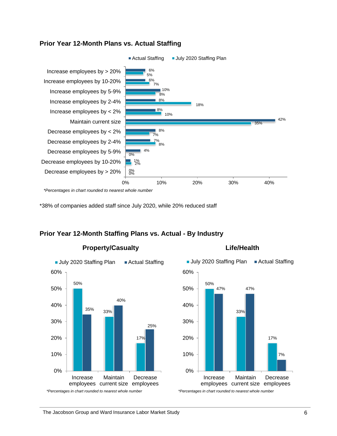

#### **Prior Year 12-Month Plans vs. Actual Staffing**

\*38% of companies added staff since July 2020, while 20% reduced staff

#### **Prior Year 12-Month Staffing Plans vs. Actual - By Industry**



#### **Life/Health**

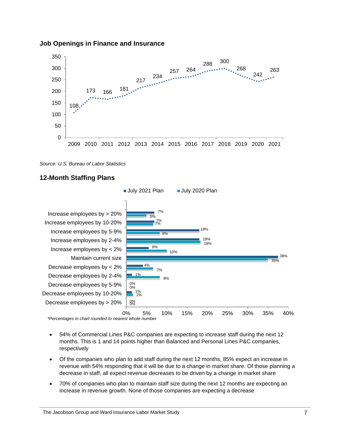

#### **Job Openings in Finance and Insurance**



#### **12-Month Staffing Plans**



*\*Percentages in chart rounded to nearest whole number*

- 54% of Commercial Lines P&C companies are expecting to increase staff during the next 12 months. This is 1 and 14 points higher than Balanced and Personal Lines P&C companies, respectively
- Of the companies who plan to add staff during the next 12 months, 85% expect an increase in revenue with 54% responding that it will be due to a change in market share. Of those planning a decrease in staff, all expect revenue decreases to be driven by a change in market share
- 70% of companies who plan to maintain staff size during the next 12 months are expecting an increase in revenue growth. None of those companies are expecting a decrease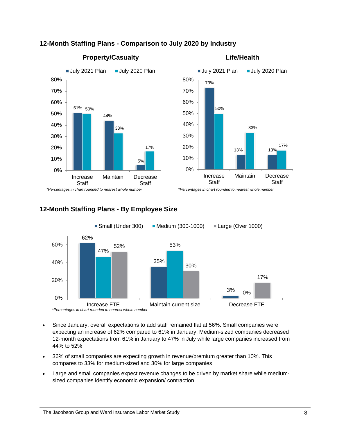

#### **12-Month Staffing Plans - Comparison to July 2020 by Industry**



#### **Property/Casualty**

#### **Life/Health**

**12-Month Staffing Plans - By Employee Size**



- Since January, overall expectations to add staff remained flat at 56%. Small companies were expecting an increase of 62% compared to 61% in January. Medium-sized companies decreased 12-month expectations from 61% in January to 47% in July while large companies increased from 44% to 52%
- 36% of small companies are expecting growth in revenue/premium greater than 10%. This compares to 33% for medium-sized and 30% for large companies
- Large and small companies expect revenue changes to be driven by market share while mediumsized companies identify economic expansion/ contraction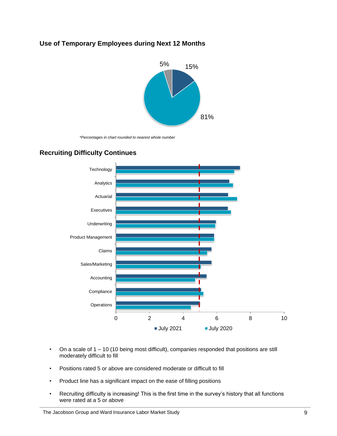#### **Use of Temporary Employees during Next 12 Months**



*\*Percentages in chart rounded to nearest whole number*



#### **Recruiting Difficulty Continues**

- On a scale of 1 10 (10 being most difficult), companies responded that positions are still moderately difficult to fill
- Positions rated 5 or above are considered moderate or difficult to fill
- Product line has a significant impact on the ease of filling positions
- Recruiting difficulty is increasing! This is the first time in the survey's history that all functions were rated at a 5 or above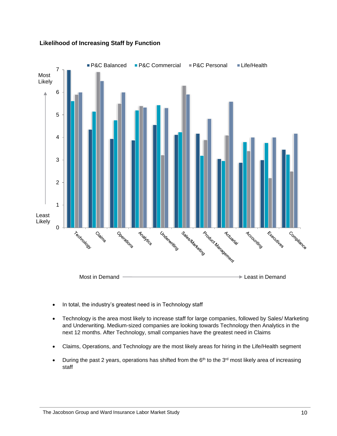

#### **Likelihood of Increasing Staff by Function**

- In total, the industry's greatest need is in Technology staff
- Technology is the area most likely to increase staff for large companies, followed by Sales/ Marketing and Underwriting. Medium-sized companies are looking towards Technology then Analytics in the next 12 months. After Technology, small companies have the greatest need in Claims
- Claims, Operations, and Technology are the most likely areas for hiring in the Life/Health segment
- During the past 2 years, operations has shifted from the  $6<sup>th</sup>$  to the 3<sup>rd</sup> most likely area of increasing staff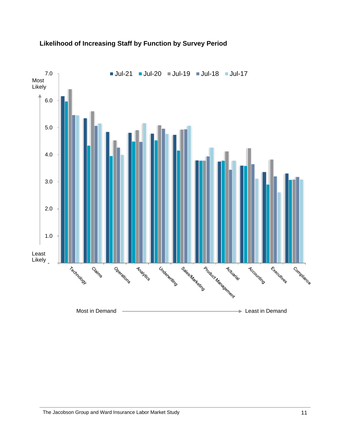

#### **Likelihood of Increasing Staff by Function by Survey Period**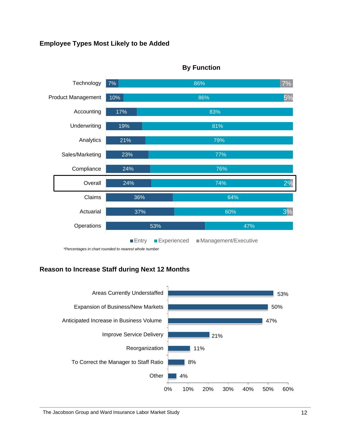#### **Employee Types Most Likely to be Added**



#### **By Function**

*\*Percentages in chart rounded to nearest whole number*

#### **Reason to Increase Staff during Next 12 Months**

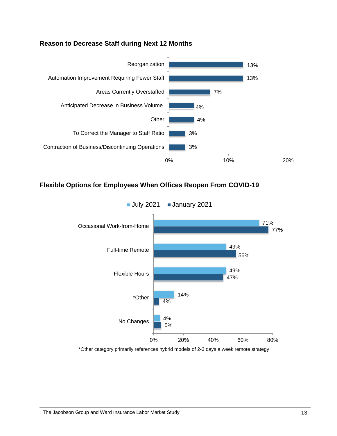#### **Reason to Decrease Staff during Next 12 Months**



#### **Flexible Options for Employees When Offices Reopen From COVID-19**



\*Other category primarily references hybrid models of 2-3 days a week remote strategy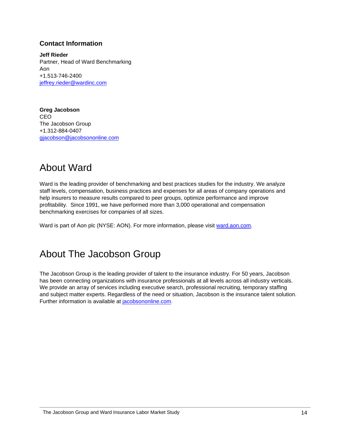#### **Contact Information**

**Jeff Rieder** Partner, Head of Ward Benchmarking Aon +1.513-746-2400 [jeffrey.rieder@wardinc.com](mailto:jeffrey.rieder@wardinc.com)

**Greg Jacobson** CEO The Jacobson Group +1.312-884-0407 [gjacobson@jacobsononline.com](mailto:gjacobson@jacobsononline.com)

# About Ward

Ward is the leading provider of benchmarking and best practices studies for the industry. We analyze staff levels, compensation, business practices and expenses for all areas of company operations and help insurers to measure results compared to peer groups, optimize performance and improve profitability. Since 1991, we have performed more than 3,000 operational and compensation benchmarking exercises for companies of all sizes.

Ward is part of Aon plc (NYSE: AON). For more information, please visit ward.aon.com.

# About The Jacobson Group

The Jacobson Group is the leading provider of talent to the insurance industry. For 50 years, Jacobson has been connecting organizations with insurance professionals at all levels across all industry verticals. We provide an array of services including executive search, professional recruiting, temporary staffing and subject matter experts. Regardless of the need or situation, Jacobson is the insurance talent solution. Further information is available at [jacobsononline.com.](http://r20.rs6.net/tn.jsp?e=001Hb87B-ZL4K0bEPENGzcrp2KckoQuXx4JNYHIw8D3MWBNnbAcM9Jn4uR3sgoYkDqiho8vy_qAjqKMzprWTlhxDFs7DSKh9KzKwC3DZHsvoGW7M71D8lJc9Q==)